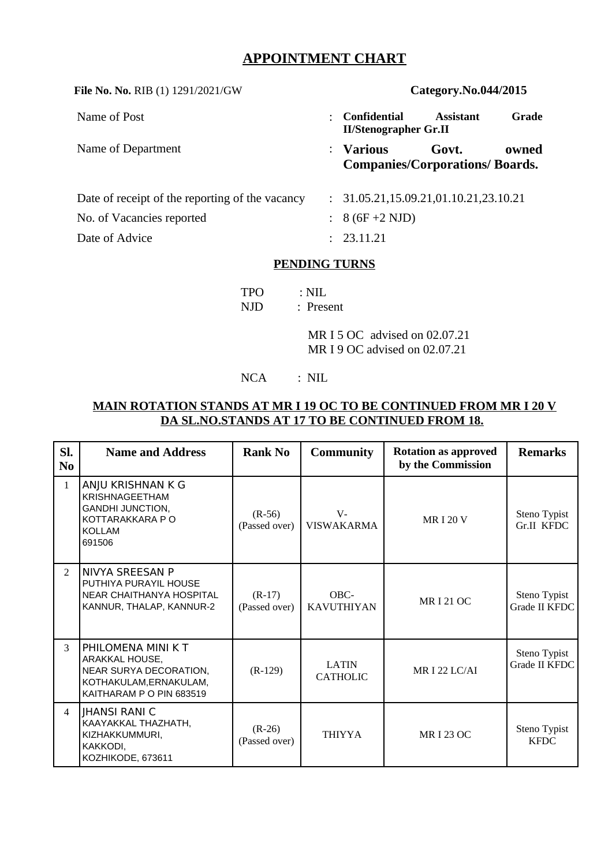# **APPOINTMENT CHART**

| File No. No. RIB (1) 1291/2021/GW               |                      | Category.No.044/2015                                 |                  |       |  |  |  |
|-------------------------------------------------|----------------------|------------------------------------------------------|------------------|-------|--|--|--|
| Name of Post                                    | $\ddot{\phantom{a}}$ | Confidential<br><b>II/Stenographer Gr.II</b>         | <b>Assistant</b> | Grade |  |  |  |
| Name of Department                              |                      | $:$ Various<br><b>Companies/Corporations/Boards.</b> | Govt.            | owned |  |  |  |
| Date of receipt of the reporting of the vacancy |                      | 31.05.21,15.09.21,01.10.21,23.10.21                  |                  |       |  |  |  |
| No. of Vacancies reported                       |                      | 8 (6F +2 NJD)                                        |                  |       |  |  |  |
| Date of Advice                                  |                      | : 23.11.21                                           |                  |       |  |  |  |
| <b>PENDING TURNS</b>                            |                      |                                                      |                  |       |  |  |  |
| $: \mathrm{NIL}$<br>TPO                         |                      |                                                      |                  |       |  |  |  |

NJD : Present

MR I 5 OC advised on 02.07.21 MR I 9 OC advised on 02.07.21

### NCA : NIL

#### **MAIN ROTATION STANDS AT MR I 19 OC TO BE CONTINUED FROM MR I 20 V DA SL.NO.STANDS AT 17 TO BE CONTINUED FROM 18.**

| SI.<br>N <sub>0</sub> | <b>Name and Address</b>                                                                                              | <b>Rank No</b>            | <b>Community</b>                | <b>Rotation as approved</b><br>by the Commission | <b>Remarks</b>                    |
|-----------------------|----------------------------------------------------------------------------------------------------------------------|---------------------------|---------------------------------|--------------------------------------------------|-----------------------------------|
| $\mathbf{1}$          | ANJU KRISHNAN K G<br><b>KRISHNAGEETHAM</b><br><b>GANDHI JUNCTION,</b><br>KOTTARAKKARA P O<br><b>KOLLAM</b><br>691506 | $(R-56)$<br>(Passed over) | $V -$<br><b>VISWAKARMA</b>      | <b>MRI20V</b>                                    | Steno Typist<br><b>Gr.II KFDC</b> |
| $\mathcal{P}$         | INIVYA SREESAN P<br>PUTHIYA PURAYIL HOUSE<br>NEAR CHAITHANYA HOSPITAL<br>KANNUR, THALAP, KANNUR-2                    | $(R-17)$<br>(Passed over) | $OBC-$<br><b>KAVUTHIYAN</b>     | <b>MR I 21 OC</b>                                | Steno Typist<br>Grade II KFDC     |
| 3                     | PHILOMENA MINI K T<br>ARAKKAL HOUSE,<br>NEAR SURYA DECORATION,<br>KOTHAKULAM, ERNAKULAM,<br>KAITHARAM P O PIN 683519 | $(R-129)$                 | <b>LATIN</b><br><b>CATHOLIC</b> | <b>MR I 22 LC/AI</b>                             | Steno Typist<br>Grade II KFDC     |
| $\overline{4}$        | IHANSI RANI C<br>KAAYAKKAL THAZHATH,<br>KIZHAKKUMMURI,<br>KAKKODI,<br>KOZHIKODE, 673611                              | $(R-26)$<br>(Passed over) | <b>THIYYA</b>                   | <b>MR I 23 OC</b>                                | Steno Typist<br><b>KFDC</b>       |